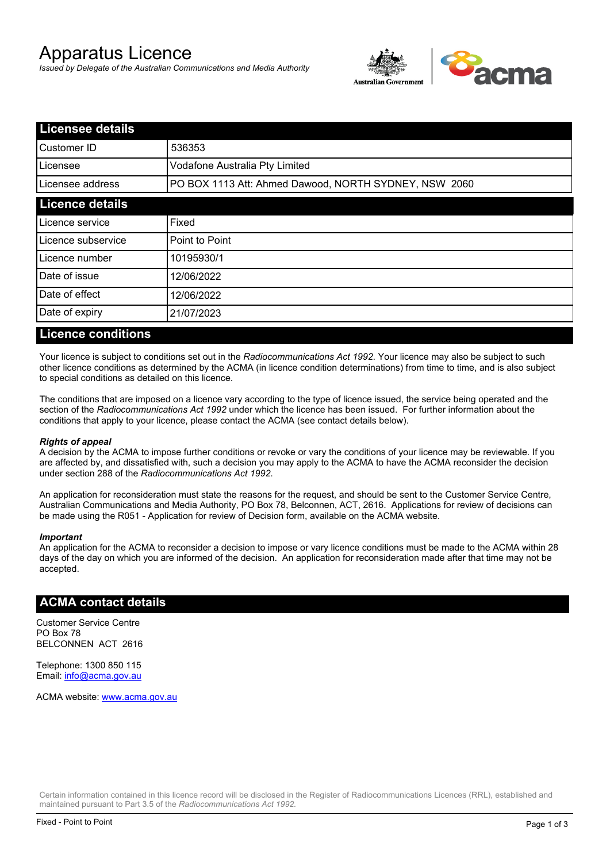# Apparatus Licence

*Issued by Delegate of the Australian Communications and Media Authority*



| <b>Licensee details</b> |                                                       |  |
|-------------------------|-------------------------------------------------------|--|
| Customer ID             | 536353                                                |  |
| Licensee                | Vodafone Australia Pty Limited                        |  |
| Licensee address        | PO BOX 1113 Att: Ahmed Dawood, NORTH SYDNEY, NSW 2060 |  |
| <b>Licence details</b>  |                                                       |  |
| Licence service         | Fixed                                                 |  |
| Licence subservice      | Point to Point                                        |  |
| Licence number          | 10195930/1                                            |  |
| Date of issue           | 12/06/2022                                            |  |
| Date of effect          | 12/06/2022                                            |  |
| Date of expiry          | 21/07/2023                                            |  |
|                         |                                                       |  |

#### **Licence conditions**

Your licence is subject to conditions set out in the *Radiocommunications Act 1992*. Your licence may also be subject to such other licence conditions as determined by the ACMA (in licence condition determinations) from time to time, and is also subject to special conditions as detailed on this licence.

The conditions that are imposed on a licence vary according to the type of licence issued, the service being operated and the section of the *Radiocommunications Act 1992* under which the licence has been issued. For further information about the conditions that apply to your licence, please contact the ACMA (see contact details below).

#### *Rights of appeal*

A decision by the ACMA to impose further conditions or revoke or vary the conditions of your licence may be reviewable. If you are affected by, and dissatisfied with, such a decision you may apply to the ACMA to have the ACMA reconsider the decision under section 288 of the *Radiocommunications Act 1992*.

An application for reconsideration must state the reasons for the request, and should be sent to the Customer Service Centre, Australian Communications and Media Authority, PO Box 78, Belconnen, ACT, 2616. Applications for review of decisions can be made using the R051 - Application for review of Decision form, available on the ACMA website.

#### *Important*

An application for the ACMA to reconsider a decision to impose or vary licence conditions must be made to the ACMA within 28 days of the day on which you are informed of the decision. An application for reconsideration made after that time may not be accepted.

#### **ACMA contact details**

Customer Service Centre PO Box 78 BELCONNEN ACT 2616

Telephone: 1300 850 115 Email: info@acma.gov.au

ACMA website: www.acma.gov.au

Certain information contained in this licence record will be disclosed in the Register of Radiocommunications Licences (RRL), established and maintained pursuant to Part 3.5 of the *Radiocommunications Act 1992.*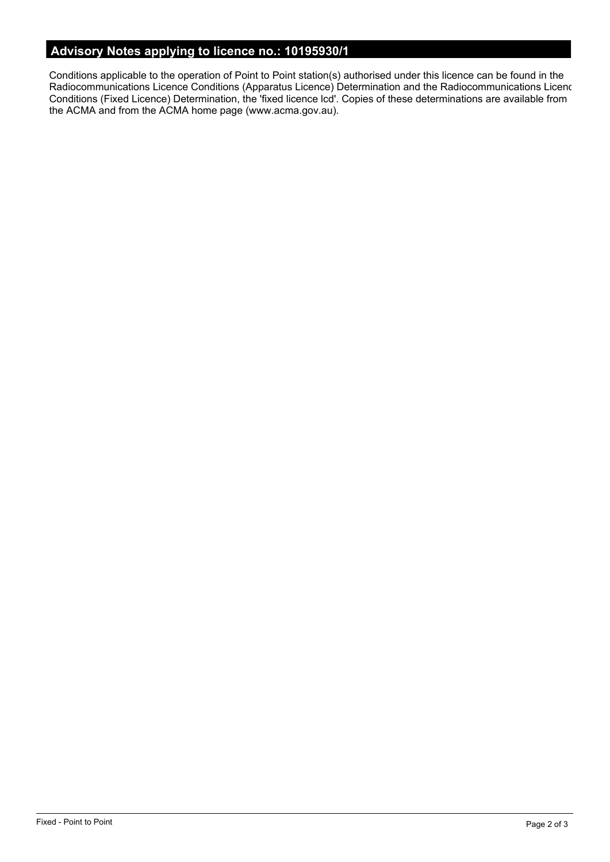# **Advisory Notes applying to licence no.: 10195930/1**

Conditions applicable to the operation of Point to Point station(s) authorised under this licence can be found in the Radiocommunications Licence Conditions (Apparatus Licence) Determination and the Radiocommunications Licence Conditions (Fixed Licence) Determination, the 'fixed licence lcd'. Copies of these determinations are available from the ACMA and from the ACMA home page (www.acma.gov.au).